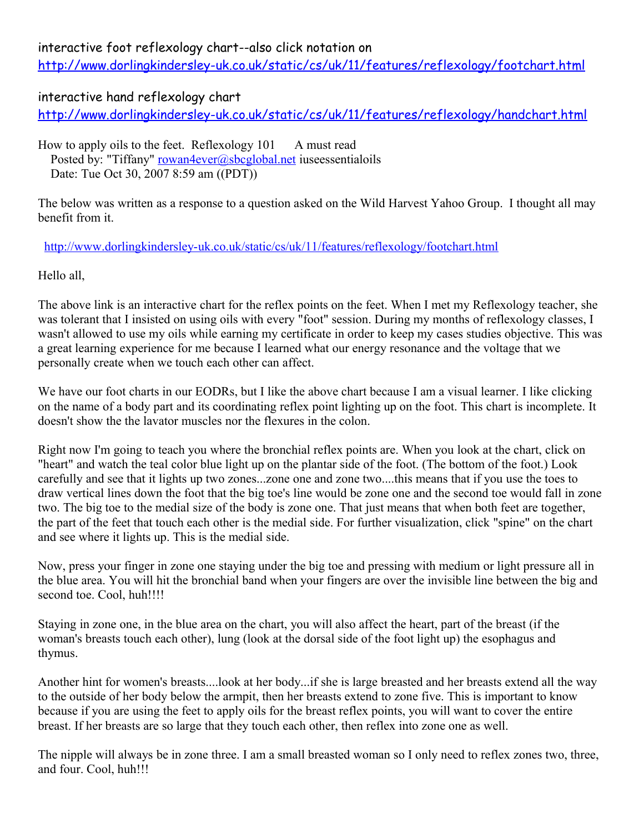## interactive foot reflexology chart--also click notation on

<http://www.dorlingkindersley-uk.co.uk/static/cs/uk/11/features/reflexology/footchart.html>

## interactive hand reflexology chart

<http://www.dorlingkindersley-uk.co.uk/static/cs/uk/11/features/reflexology/handchart.html>

How to apply oils to the feet. Reflexology 101 A must read Posted by: "Tiffany" [rowan4ever@sbcglobal.net](mailto:rowan4ever@sbcglobal.net) iuseessentialoils

Date: Tue Oct 30, 2007 8:59 am ((PDT))

The below was written as a response to a question asked on the Wild Harvest Yahoo Group. I thought all may benefit from it.

## <http://www.dorlingkindersley-uk.co.uk/static/cs/uk/11/features/reflexology/footchart.html>

Hello all,

The above link is an interactive chart for the reflex points on the feet. When I met my Reflexology teacher, she was tolerant that I insisted on using oils with every "foot" session. During my months of reflexology classes, I wasn't allowed to use my oils while earning my certificate in order to keep my cases studies objective. This was a great learning experience for me because I learned what our energy resonance and the voltage that we personally create when we touch each other can affect.

We have our foot charts in our EODRs, but I like the above chart because I am a visual learner. I like clicking on the name of a body part and its coordinating reflex point lighting up on the foot. This chart is incomplete. It doesn't show the the lavator muscles nor the flexures in the colon.

Right now I'm going to teach you where the bronchial reflex points are. When you look at the chart, click on "heart" and watch the teal color blue light up on the plantar side of the foot. (The bottom of the foot.) Look carefully and see that it lights up two zones...zone one and zone two....this means that if you use the toes to draw vertical lines down the foot that the big toe's line would be zone one and the second toe would fall in zone two. The big toe to the medial size of the body is zone one. That just means that when both feet are together, the part of the feet that touch each other is the medial side. For further visualization, click "spine" on the chart and see where it lights up. This is the medial side.

Now, press your finger in zone one staying under the big toe and pressing with medium or light pressure all in the blue area. You will hit the bronchial band when your fingers are over the invisible line between the big and second toe. Cool, huh!!!!

Staying in zone one, in the blue area on the chart, you will also affect the heart, part of the breast (if the woman's breasts touch each other), lung (look at the dorsal side of the foot light up) the esophagus and thymus.

Another hint for women's breasts....look at her body...if she is large breasted and her breasts extend all the way to the outside of her body below the armpit, then her breasts extend to zone five. This is important to know because if you are using the feet to apply oils for the breast reflex points, you will want to cover the entire breast. If her breasts are so large that they touch each other, then reflex into zone one as well.

The nipple will always be in zone three. I am a small breasted woman so I only need to reflex zones two, three, and four. Cool, huh!!!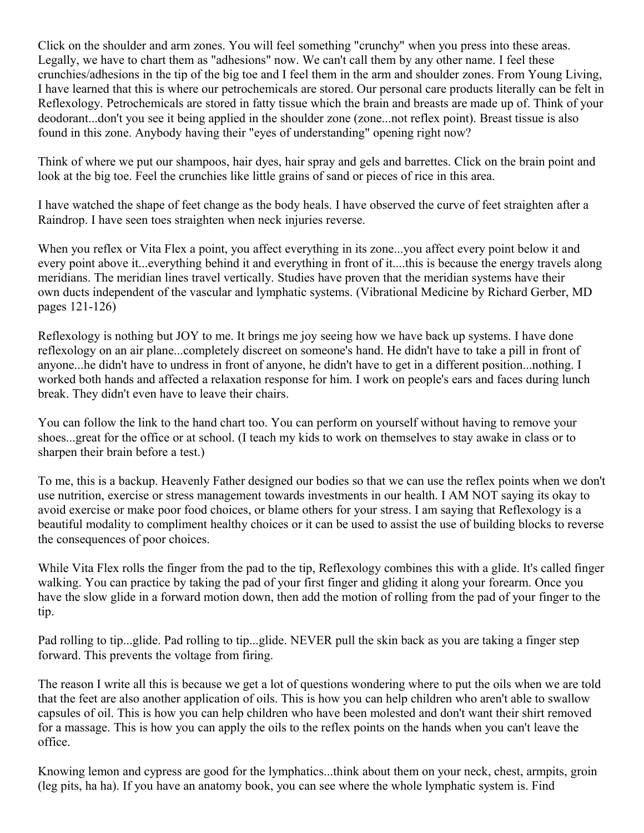Click on the shoulder and arm zones. You will feel something "crunchy" when you press into these areas. Legally, we have to chart them as "adhesions" now. We can't call them by any other name. I feel these crunchies/adhesions in the tip of the big toe and I feel them in the arm and shoulder zones. From Young Living, I have learned that this is where our petrochemicals are stored. Our personal care products literally can be felt in Reflexology. Petrochemicals are stored in fatty tissue which the brain and breasts are made up of. Think of your deodorant...don't you see it being applied in the shoulder zone (zone...not reflex point). Breast tissue is also found in this zone. Anybody having their "eyes of understanding" opening right now?

Think of where we put our shampoos, hair dyes, hair spray and gels and barrettes. Click on the brain point and look at the big toe. Feel the crunchies like little grains of sand or pieces of rice in this area.

I have watched the shape of feet change as the body heals. I have observed the curve of feet straighten after a Raindrop. I have seen toes straighten when neck injuries reverse.

When you reflex or Vita Flex a point, you affect everything in its zone...you affect every point below it and every point above it...everything behind it and everything in front of it....this is because the energy travels along meridians. The meridian lines travel vertically. Studies have proven that the meridian systems have their own ducts independent of the vascular and lymphatic systems. (Vibrational Medicine by Richard Gerber, MD pages 121-126)

Reflexology is nothing but JOY to me. It brings me joy seeing how we have back up systems. I have done reflexology on an air plane...completely discreet on someone's hand. He didn't have to take a pill in front of anyone...he didn't have to undress in front of anyone, he didn't have to get in a different position...nothing. I worked both hands and affected a relaxation response for him. I work on people's ears and faces during lunch break. They didn't even have to leave their chairs.

You can follow the link to the hand chart too. You can perform on yourself without having to remove your shoes...great for the office or at school. (I teach my kids to work on themselves to stay awake in class or to sharpen their brain before a test.)

To me, this is a backup. Heavenly Father designed our bodies so that we can use the reflex points when we don't use nutrition, exercise or stress management towards investments in our health. I AM NOT saying its okay to avoid exercise or make poor food choices, or blame others for your stress. I am saying that Reflexology is a beautiful modality to compliment healthy choices or it can be used to assist the use of building blocks to reverse the consequences of poor choices.

While Vita Flex rolls the finger from the pad to the tip, Reflexology combines this with a glide. It's called finger walking. You can practice by taking the pad of your first finger and gliding it along your forearm. Once you have the slow glide in a forward motion down, then add the motion of rolling from the pad of your finger to the tip.

Pad rolling to tip...glide. Pad rolling to tip...glide. NEVER pull the skin back as you are taking a finger step forward. This prevents the voltage from firing.

The reason I write all this is because we get a lot of questions wondering where to put the oils when we are told that the feet are also another application of oils. This is how you can help children who aren't able to swallow capsules of oil. This is how you can help children who have been molested and don't want their shirt removed for a massage. This is how you can apply the oils to the reflex points on the hands when you can't leave the office.

Knowing lemon and cypress are good for the lymphatics...think about them on your neck, chest, armpits, groin (leg pits, ha ha). If you have an anatomy book, you can see where the whole lymphatic system is. Find